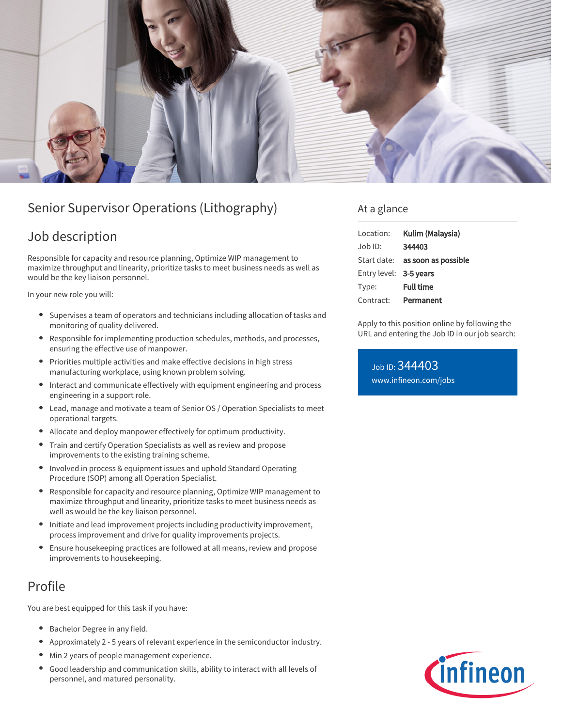

# Senior Supervisor Operations (Lithography)

## Job description

Responsible for capacity and resource planning, Optimize WIP management to maximize throughput and linearity, prioritize tasks to meet business needs as well as would be the key liaison personnel.

In your new role you will:

- Supervises a team of operators and technicians including allocation of tasks and monitoring of quality delivered.
- Responsible for implementing production schedules, methods, and processes, ensuring the effective use of manpower.
- Priorities multiple activities and make effective decisions in high stress manufacturing workplace, using known problem solving.
- Interact and communicate effectively with equipment engineering and process engineering in a support role.
- $\bullet$ Lead, manage and motivate a team of Senior OS / Operation Specialists to meet operational targets.
- Allocate and deploy manpower effectively for optimum productivity.
- Train and certify Operation Specialists as well as review and propose  $\bullet$ improvements to the existing training scheme.
- Involved in process & equipment issues and uphold Standard Operating Procedure (SOP) among all Operation Specialist.
- Responsible for capacity and resource planning, Optimize WIP management to maximize throughput and linearity, prioritize tasks to meet business needs as well as would be the key liaison personnel.
- $\bullet$ Initiate and lead improvement projects including productivity improvement, process improvement and drive for quality improvements projects.
- Ensure housekeeping practices are followed at all means, review and propose improvements to housekeeping.

# Profile

You are best equipped for this task if you have:

- Bachelor Degree in any field.
- Approximately 2 5 years of relevant experience in the semiconductor industry.
- Min 2 years of people management experience.
- Good leadership and communication skills, ability to interact with all levels of personnel, and matured personality.

### At a glance

| Location:              | Kulim (Malaysia)                       |
|------------------------|----------------------------------------|
| $Joh$ ID:              | 344403                                 |
|                        | Start date: <b>as soon as possible</b> |
| Entry level: 3-5 years |                                        |
| Type:                  | <b>Full time</b>                       |
| Contract:              | Permanent                              |

Apply to this position online by following the URL and entering the Job ID in our job search:

Job ID: 344403 [www.infineon.com/jobs](https://www.infineon.com/jobs)